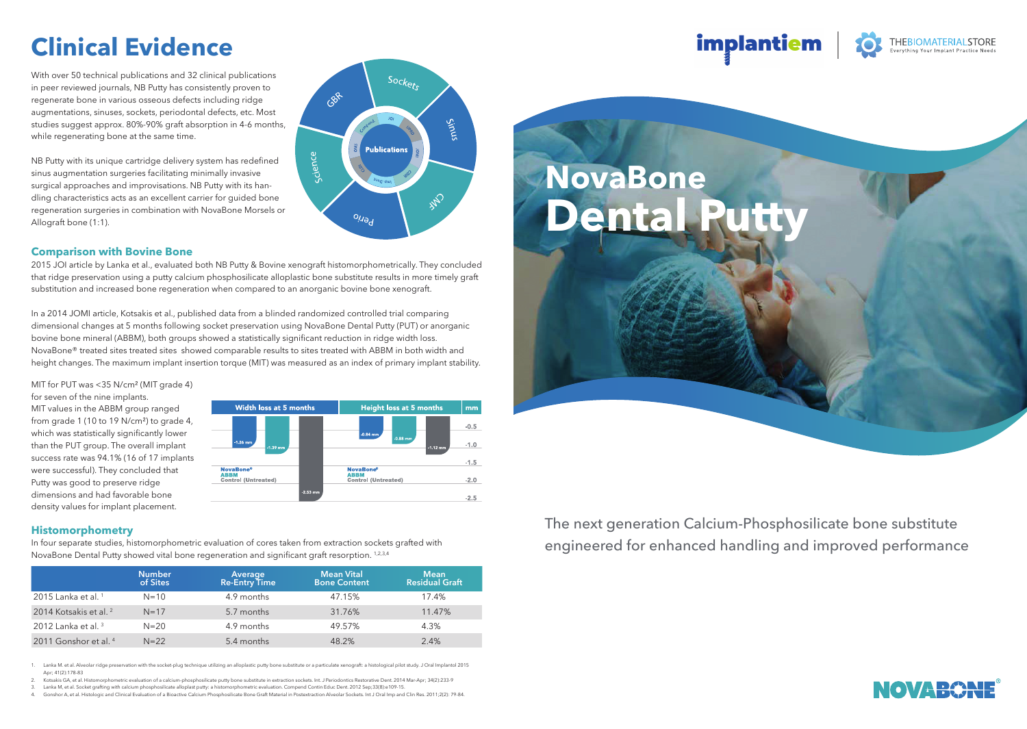# **Clinical Evidence**

With over 50 technical publications and 32 clinical publications in peer reviewed journals, NB Putty has consistently proven to regenerate bone in various osseous defects including ridge augmentations, sinuses, sockets, periodontal defects, etc. Most studies suggest approx. 80%-90% graft absorption in 4-6 months, while regenerating bone at the same time.

NB Putty with its unique cartridge delivery system has redefined sinus augmentation surgeries facilitating minimally invasive surgical approaches and improvisations. NB Putty with its handling characteristics acts as an excellent carrier for guided bone regeneration surgeries in combination with NovaBone Morsels or Allograft bone (1:1).



### **Comparison with Bovine Bone**

2015 JOI article by Lanka et al., evaluated both NB Putty & Bovine xenograft histomorphometrically. They concluded that ridge preservation using a putty calcium phosphosilicate alloplastic bone substitute results in more timely graft substitution and increased bone regeneration when compared to an anorganic bovine bone xenograft.

In a 2014 JOMI article, Kotsakis et al., published data from a blinded randomized controlled trial comparing dimensional changes at 5 months following socket preservation using NovaBone Dental Putty (PUT) or anorganic bovine bone mineral (ABBM), both groups showed a statistically significant reduction in ridge width loss. NovaBone® treated sites treated sites showed comparable results to sites treated with ABBM in both width and height changes. The maximum implant insertion torque (MIT) was measured as an index of primary implant stability.

MIT for PUT was <35 N/cm<sup>2</sup> (MIT grade 4) for seven of the nine implants. MIT values in the ABBM group ranged from grade 1 (10 to 19 N/cm<sup>2</sup>) to grade 4, which was statistically significantly lower than the PUT group. The overall implant success rate was 94.1% (16 of 17 implants were successful). They concluded that Putty was good to preserve ridge dimensions and had favorable bone density values for implant placement.



### **Histomorphometry**

In four separate studies, histomorphometric evaluation of cores taken from extraction sockets grafted with NovaBone Dental Putty showed vital bone regeneration and significant graft resorption. 1,2,3,4

|                                   | <b>Number</b><br>of Sites | Average<br>Re-Entry Time | <b>Mean Vital</b><br><b>Bone Content</b> | <b>Mean</b><br><b>Residual Graft</b> |
|-----------------------------------|---------------------------|--------------------------|------------------------------------------|--------------------------------------|
| 2015 Lanka et al. $1$             | $N = 10$                  | 4.9 months               | 47.15%                                   | 17.4%                                |
| 2014 Kotsakis et al. <sup>2</sup> | $N = 17$                  | 5.7 months               | 31.76%                                   | 11.47%                               |
| 2012 Lanka et al. $3$             | $N = 20$                  | 4.9 months               | 49.57%                                   | 4.3%                                 |
| 2011 Gonshor et al. <sup>4</sup>  | $N = 22$                  | 5.4 months               | 48.2%                                    | 2.4%                                 |

1. Lanka M. et al. Alveolar ridge preservation with the socket-plug technique utilizing an alloplastic putty bone substitute or a particulate xenograft: a histological pilot study. J Oral Implantol 2015 Apr; 41(2):178-83<br>Kotsakis GA. et al. Histomor

- .<br>hometric evaluation of a calcium-phosphosilicate putty bone substitute in extraction sockets. Int. J Periodontics Restorative Dent. 2014 Mar-Apr; 34(2):233-9
- 3. Lanka M, et al. Socket grafting with calcium phosphosilicate alloplast putty: a histomorphometric evaluation. Compend Contin Educ Dent. 2012 Sep;33(8):e109-15.

4. Gonshor A, et al. Histologic and Clinical Evaluation of a Bioactive Calcium Phosphosilicate Bone Graft Material in Postextraction Alveolar Sockets. Int J Oral Imp and Clin Res. 2011;2(2): 79-84.



implantiem

The next generation Calcium-Phosphosilicate bone substitute engineered for enhanced handling and improved performance



**THEBIOMATERIALSTORE**